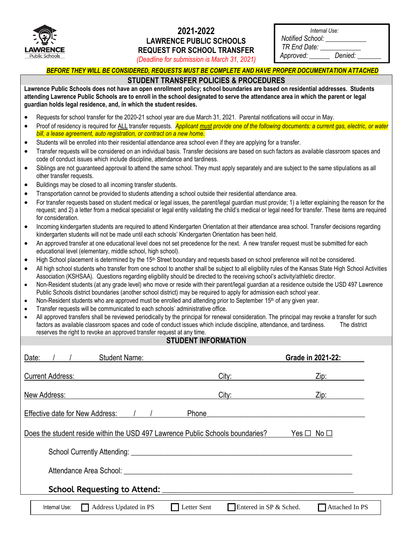

## **2021-2022 LAWRENCE PUBLIC SCHOOLS REQUEST FOR SCHOOL TRANSFER**

|                  | Internal Use: |
|------------------|---------------|
| Notified School: |               |

*TR End Date: \_\_\_\_\_\_\_\_\_\_\_\_*

*Approved: \_\_\_\_\_\_ Denied: \_\_\_\_\_\_\_*

*(Deadline for submission is March 31, 2021)*

|  | <u>BEFORE THEY WILL BE CONSIDERED, REQUESTS MUST BE COMPLETE AND HAVE PROPER DOCUMENTATION ATTACHED</u> |  |
|--|---------------------------------------------------------------------------------------------------------|--|

## **STUDENT TRANSFER POLICIES & PROCEDURES**

**Lawrence Public Schools does not have an open enrollment policy; school boundaries are based on residential addresses. Students attending Lawrence Public Schools are to enroll in the school designated to serve the attendance area in which the parent or legal guardian holds legal residence, and, in which the student resides.** 

- Requests for school transfer for the 2020-21 school year are due March 31, 2021. Parental notifications will occur in May.
- Proof of residency is required for ALL transfer requests. *Applicant must provide one of the following documents: a current gas, electric, or water bill, a lease agreement, auto registration, or contract on a new home.*
- Students will be enrolled into their residential attendance area school even if they are applying for a transfer.
- Transfer requests will be considered on an individual basis. Transfer decisions are based on such factors as available classroom spaces and code of conduct issues which include discipline, attendance and tardiness.
- Siblings are not guaranteed approval to attend the same school. They must apply separately and are subject to the same stipulations as all other transfer requests.
- Buildings may be closed to all incoming transfer students.
- Transportation cannot be provided to students attending a school outside their residential attendance area.
- For transfer requests based on student medical or legal issues, the parent/legal guardian must provide; 1) a letter explaining the reason for the request; and 2) a letter from a medical specialist or legal entity validating the child's medical or legal need for transfer. These items are required for consideration.
- Incoming kindergarten students are required to attend Kindergarten Orientation at their attendance area school. Transfer decisions regarding kindergarten students will not be made until each schools' Kindergarten Orientation has been held.
- An approved transfer at one educational level does not set precedence for the next. A new transfer request must be submitted for each educational level (elementary, middle school, high school).
- High School placement is determined by the 15<sup>th</sup> Street boundary and requests based on school preference will not be considered.
- All high school students who transfer from one school to another shall be subject to all eligibility rules of the Kansas State High School Activities Association (KSHSAA). Questions regarding eligibility should be directed to the receiving school's activity/athletic director.
- Non-Resident students (at any grade level) who move or reside with their parent/legal guardian at a residence outside the USD 497 Lawrence Public Schools district boundaries (another school district) may be required to apply for admission each school year.
- $\bullet$  Non-Resident students who are approved must be enrolled and attending prior to September 15<sup>th</sup> of any given year.
- Transfer requests will be communicated to each schools' administrative office.
- All approved transfers shall be reviewed periodically by the principal for renewal consideration. The principal may revoke a transfer for such factors as available classroom spaces and code of conduct issues which include discipline, attendance, and tardiness. The district reserves the right to revoke an approved transfer request at any time.

## **STUDENT INFORMATION**

| <b>Student Name:</b><br>Date:                                                                                                                                                                                                 |                                       | Grade in 2021-22: |  |
|-------------------------------------------------------------------------------------------------------------------------------------------------------------------------------------------------------------------------------|---------------------------------------|-------------------|--|
| <b>Current Address:</b>                                                                                                                                                                                                       | City:                                 | Zip:              |  |
| New Address:                                                                                                                                                                                                                  | City:                                 | Zip:              |  |
| Effective date for New Address: / /                                                                                                                                                                                           | Phone                                 |                   |  |
| Does the student reside within the USD 497 Lawrence Public Schools boundaries?<br>$Yes \Box No \Box$                                                                                                                          |                                       |                   |  |
| School Currently Attending: University of the Contract of the Contract of the Contract of the Contract of the Contract of the Contract of the Contract of the Contract of the Contract of the Contract of the Contract of the |                                       |                   |  |
| Attendance Area School:                                                                                                                                                                                                       |                                       |                   |  |
| School Requesting to Attend: ______                                                                                                                                                                                           |                                       |                   |  |
| Address Updated in PS<br>Internal Use:                                                                                                                                                                                        | Entered in SP & Sched.<br>Letter Sent | Attached In PS    |  |